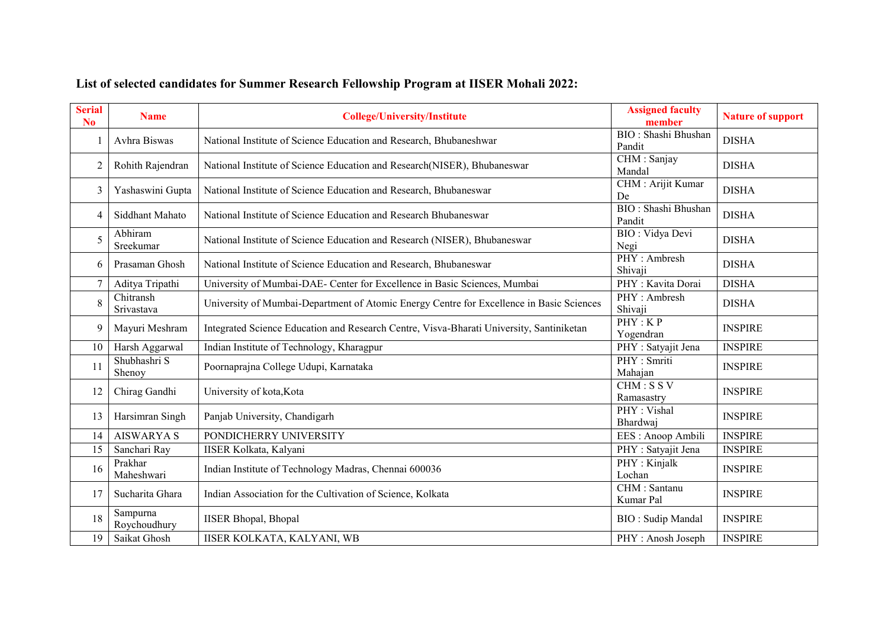| <b>Serial</b><br>N <sub>0</sub> | <b>Name</b>              | <b>College/University/Institute</b>                                                      | <b>Assigned faculty</b><br>member     | <b>Nature of support</b> |
|---------------------------------|--------------------------|------------------------------------------------------------------------------------------|---------------------------------------|--------------------------|
|                                 | Avhra Biswas             | National Institute of Science Education and Research, Bhubaneshwar                       | BIO: Shashi Bhushan<br>Pandit         | <b>DISHA</b>             |
| $\overline{2}$                  | Rohith Rajendran         | National Institute of Science Education and Research(NISER), Bhubaneswar                 | CHM : Sanjay<br>Mandal                | <b>DISHA</b>             |
| 3                               | Yashaswini Gupta         | National Institute of Science Education and Research, Bhubaneswar                        | CHM : Arijit Kumar<br>De              | <b>DISHA</b>             |
| 4                               | Siddhant Mahato          | National Institute of Science Education and Research Bhubaneswar                         | <b>BIO</b> : Shashi Bhushan<br>Pandit | <b>DISHA</b>             |
| 5                               | Abhiram<br>Sreekumar     | National Institute of Science Education and Research (NISER), Bhubaneswar                | BIO: Vidya Devi<br>Negi               | <b>DISHA</b>             |
| 6                               | Prasaman Ghosh           | National Institute of Science Education and Research, Bhubaneswar                        | PHY: Ambresh<br>Shivaji               | <b>DISHA</b>             |
| $\overline{7}$                  | Aditya Tripathi          | University of Mumbai-DAE- Center for Excellence in Basic Sciences, Mumbai                | PHY: Kavita Dorai                     | <b>DISHA</b>             |
| 8                               | Chitransh<br>Srivastava  | University of Mumbai-Department of Atomic Energy Centre for Excellence in Basic Sciences | PHY: Ambresh<br>Shivaji               | <b>DISHA</b>             |
| 9                               | Mayuri Meshram           | Integrated Science Education and Research Centre, Visva-Bharati University, Santiniketan | PHY:KP<br>Yogendran                   | <b>INSPIRE</b>           |
| 10                              | Harsh Aggarwal           | Indian Institute of Technology, Kharagpur                                                | PHY: Satyajit Jena                    | <b>INSPIRE</b>           |
| 11                              | Shubhashri S<br>Shenoy   | Poornaprajna College Udupi, Karnataka                                                    | PHY : Smriti<br>Mahajan               | <b>INSPIRE</b>           |
| 12                              | Chirag Gandhi            | University of kota, Kota                                                                 | CHM: SSV<br>Ramasastry                | <b>INSPIRE</b>           |
| 13                              | Harsimran Singh          | Panjab University, Chandigarh                                                            | $\overline{PHY}$ : Vishal<br>Bhardwai | <b>INSPIRE</b>           |
| 14                              | <b>AISWARYA S</b>        | PONDICHERRY UNIVERSITY                                                                   | EES: Anoop Ambili                     | <b>INSPIRE</b>           |
| 15                              | Sanchari Ray             | <b>IISER Kolkata, Kalyani</b>                                                            | PHY: Satyajit Jena                    | <b>INSPIRE</b>           |
| 16                              | Prakhar<br>Maheshwari    | Indian Institute of Technology Madras, Chennai 600036                                    | PHY: Kinjalk<br>Lochan                | <b>INSPIRE</b>           |
| 17                              | Sucharita Ghara          | Indian Association for the Cultivation of Science, Kolkata                               | CHM : Santanu<br>Kumar Pal            | <b>INSPIRE</b>           |
| 18                              | Sampurna<br>Roychoudhury | <b>IISER Bhopal</b> , Bhopal                                                             | <b>BIO:</b> Sudip Mandal              | <b>INSPIRE</b>           |
| 19                              | Saikat Ghosh             | IISER KOLKATA, KALYANI, WB                                                               | PHY: Anosh Joseph                     | <b>INSPIRE</b>           |

## **List of selected candidates for Summer Research Fellowship Program at IISER Mohali 2022:**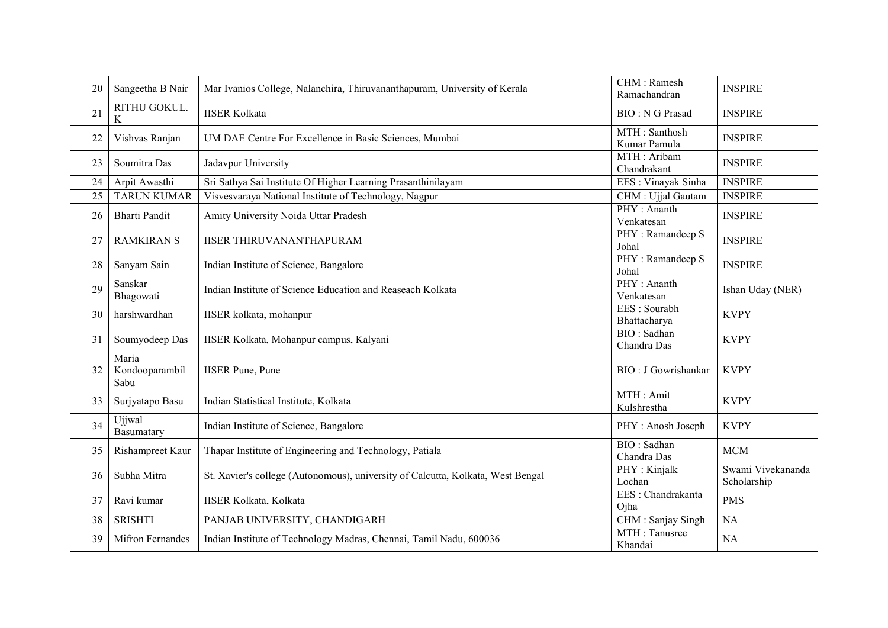| 20 | Sangeetha B Nair                | Mar Ivanios College, Nalanchira, Thiruvananthapuram, University of Kerala       | CHM : Ramesh<br>Ramachandran  | <b>INSPIRE</b>                   |
|----|---------------------------------|---------------------------------------------------------------------------------|-------------------------------|----------------------------------|
| 21 | RITHU GOKUL.<br>$\rm K$         | <b>IISER Kolkata</b>                                                            | <b>BIO: N G Prasad</b>        | <b>INSPIRE</b>                   |
| 22 | Vishvas Ranjan                  | UM DAE Centre For Excellence in Basic Sciences, Mumbai                          | MTH: Santhosh<br>Kumar Pamula | <b>INSPIRE</b>                   |
| 23 | Soumitra Das                    | Jadavpur University                                                             | MTH: Aribam<br>Chandrakant    | <b>INSPIRE</b>                   |
| 24 | Arpit Awasthi                   | Sri Sathya Sai Institute Of Higher Learning Prasanthinilayam                    | EES: Vinayak Sinha            | <b>INSPIRE</b>                   |
| 25 | <b>TARUN KUMAR</b>              | Visvesvaraya National Institute of Technology, Nagpur                           | CHM : Ujjal Gautam            | <b>INSPIRE</b>                   |
| 26 | <b>Bharti Pandit</b>            | Amity University Noida Uttar Pradesh                                            | PHY: Ananth<br>Venkatesan     | <b>INSPIRE</b>                   |
| 27 | <b>RAMKIRAN S</b>               | <b>IISER THIRUVANANTHAPURAM</b>                                                 | PHY: Ramandeep S<br>Johal     | <b>INSPIRE</b>                   |
| 28 | Sanyam Sain                     | Indian Institute of Science, Bangalore                                          | PHY: Ramandeep S<br>Johal     | <b>INSPIRE</b>                   |
| 29 | Sanskar<br>Bhagowati            | Indian Institute of Science Education and Reaseach Kolkata                      | PHY: Ananth<br>Venkatesan     | Ishan Uday (NER)                 |
| 30 | harshwardhan                    | IISER kolkata, mohanpur                                                         | EES: Sourabh<br>Bhattacharya  | <b>KVPY</b>                      |
| 31 | Soumyodeep Das                  | IISER Kolkata, Mohanpur campus, Kalyani                                         | BIO: Sadhan<br>Chandra Das    | <b>KVPY</b>                      |
| 32 | Maria<br>Kondooparambil<br>Sabu | <b>IISER Pune, Pune</b>                                                         | BIO: J Gowrishankar           | <b>KVPY</b>                      |
| 33 | Surjyatapo Basu                 | Indian Statistical Institute, Kolkata                                           | MTH: Amit<br>Kulshrestha      | <b>KVPY</b>                      |
| 34 | Ujjwal<br>Basumatary            | Indian Institute of Science, Bangalore                                          | PHY: Anosh Joseph             | <b>KVPY</b>                      |
| 35 | Rishampreet Kaur                | Thapar Institute of Engineering and Technology, Patiala                         | BIO: Sadhan<br>Chandra Das    | <b>MCM</b>                       |
| 36 | Subha Mitra                     | St. Xavier's college (Autonomous), university of Calcutta, Kolkata, West Bengal | PHY: Kinjalk<br>Lochan        | Swami Vivekananda<br>Scholarship |
| 37 | Ravi kumar                      | IISER Kolkata, Kolkata                                                          | EES: Chandrakanta<br>Ojha     | <b>PMS</b>                       |
| 38 | <b>SRISHTI</b>                  | PANJAB UNIVERSITY, CHANDIGARH                                                   | CHM: Sanjay Singh             | NA                               |
| 39 | <b>Mifron Fernandes</b>         | Indian Institute of Technology Madras, Chennai, Tamil Nadu, 600036              | MTH: Tanusree<br>Khandai      | <b>NA</b>                        |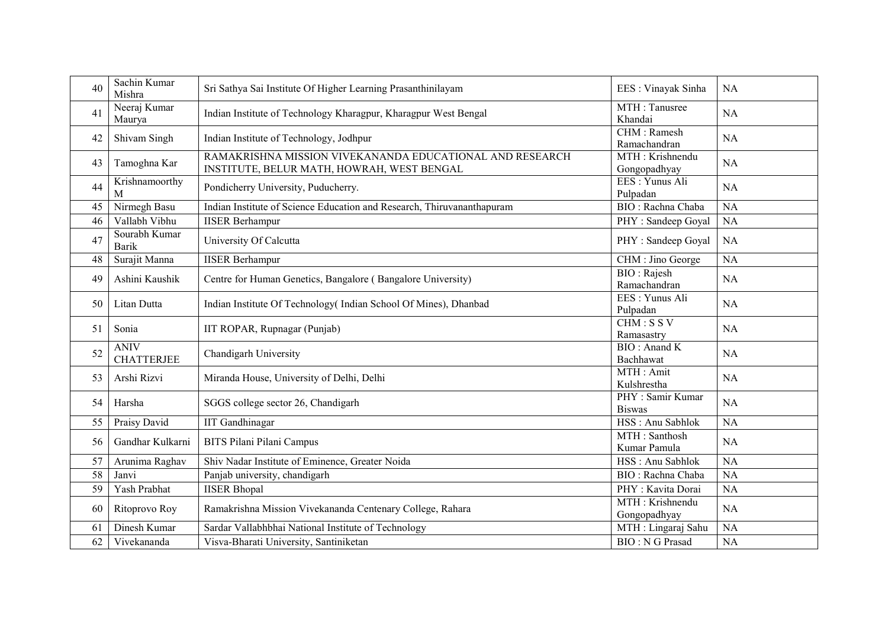| 40 | Sachin Kumar<br>Mishra           | Sri Sathya Sai Institute Of Higher Learning Prasanthinilayam                                           | EES: Vinayak Sinha                | <b>NA</b> |
|----|----------------------------------|--------------------------------------------------------------------------------------------------------|-----------------------------------|-----------|
| 41 | Neeraj Kumar<br>Maurya           | Indian Institute of Technology Kharagpur, Kharagpur West Bengal                                        | MTH: Tanusree<br>Khandai          | <b>NA</b> |
| 42 | Shivam Singh                     | Indian Institute of Technology, Jodhpur                                                                | CHM : Ramesh<br>Ramachandran      | <b>NA</b> |
| 43 | Tamoghna Kar                     | RAMAKRISHNA MISSION VIVEKANANDA EDUCATIONAL AND RESEARCH<br>INSTITUTE, BELUR MATH, HOWRAH, WEST BENGAL | MTH: Krishnendu<br>Gongopadhyay   | NA        |
| 44 | Krishnamoorthy<br>M              | Pondicherry University, Puducherry.                                                                    | EES: Yunus Ali<br>Pulpadan        | <b>NA</b> |
| 45 | Nirmegh Basu                     | Indian Institute of Science Education and Research, Thiruvananthapuram                                 | BIO: Rachna Chaba                 | <b>NA</b> |
| 46 | Vallabh Vibhu                    | <b>IISER Berhampur</b>                                                                                 | PHY: Sandeep Goyal                | <b>NA</b> |
| 47 | Sourabh Kumar<br><b>Barik</b>    | University Of Calcutta                                                                                 | PHY: Sandeep Goyal                | <b>NA</b> |
| 48 | Surajit Manna                    | <b>IISER Berhampur</b>                                                                                 | CHM: Jino George                  | <b>NA</b> |
| 49 | Ashini Kaushik                   | Centre for Human Genetics, Bangalore (Bangalore University)                                            | BIO: Rajesh<br>Ramachandran       | <b>NA</b> |
| 50 | Litan Dutta                      | Indian Institute Of Technology (Indian School Of Mines), Dhanbad                                       | EES: Yunus Ali<br>Pulpadan        | <b>NA</b> |
| 51 | Sonia                            | IIT ROPAR, Rupnagar (Punjab)                                                                           | CHM: SSV<br>Ramasastry            | <b>NA</b> |
| 52 | <b>ANIV</b><br><b>CHATTERJEE</b> | Chandigarh University                                                                                  | BIO: Anand K<br>Bachhawat         | <b>NA</b> |
| 53 | Arshi Rizvi                      | Miranda House, University of Delhi, Delhi                                                              | MTH : Amit<br>Kulshrestha         | NA        |
| 54 | Harsha                           | SGGS college sector 26, Chandigarh                                                                     | PHY: Samir Kumar<br><b>Biswas</b> | <b>NA</b> |
| 55 | Praisy David                     | <b>IIT</b> Gandhinagar                                                                                 | HSS: Anu Sabhlok                  | <b>NA</b> |
| 56 | Gandhar Kulkarni                 | BITS Pilani Pilani Campus                                                                              | MTH: Santhosh<br>Kumar Pamula     | <b>NA</b> |
| 57 | Arunima Raghav                   | Shiv Nadar Institute of Eminence, Greater Noida                                                        | HSS: Anu Sabhlok                  | <b>NA</b> |
| 58 | Janvi                            | Panjab university, chandigarh                                                                          | BIO: Rachna Chaba                 | <b>NA</b> |
| 59 | Yash Prabhat                     | <b>IISER Bhopal</b>                                                                                    | PHY: Kavita Dorai                 | <b>NA</b> |
| 60 | Ritoprovo Roy                    | Ramakrishna Mission Vivekananda Centenary College, Rahara                                              | MTH: Krishnendu<br>Gongopadhyay   | <b>NA</b> |
| 61 | Dinesh Kumar                     | Sardar Vallabhbhai National Institute of Technology                                                    | MTH: Lingaraj Sahu                | <b>NA</b> |
| 62 | Vivekananda                      | Visva-Bharati University, Santiniketan                                                                 | <b>BIO: N G Prasad</b>            | <b>NA</b> |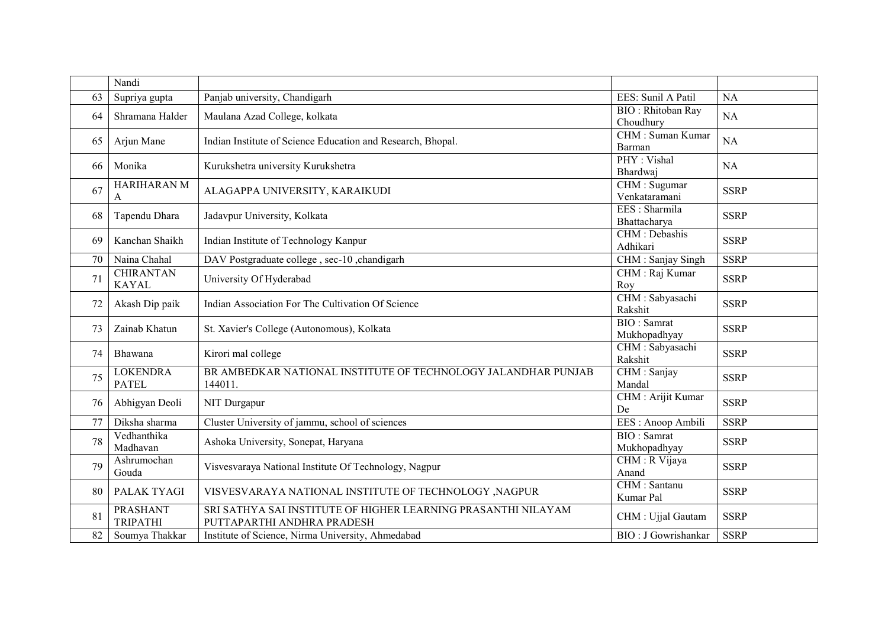|    | Nandi                              |                                                                                             |                                        |             |
|----|------------------------------------|---------------------------------------------------------------------------------------------|----------------------------------------|-------------|
| 63 | Supriya gupta                      | Panjab university, Chandigarh                                                               | EES: Sunil A Patil                     | NA          |
| 64 | Shramana Halder                    | Maulana Azad College, kolkata                                                               | <b>BIO</b> : Rhitoban Ray<br>Choudhury | NA          |
| 65 | Arjun Mane                         | Indian Institute of Science Education and Research, Bhopal.                                 | CHM: Suman Kumar<br>Barman             | NA          |
| 66 | Monika                             | Kurukshetra university Kurukshetra                                                          | PHY: Vishal<br>Bhardwai                | NA          |
| 67 | <b>HARIHARAN M</b><br>A            | ALAGAPPA UNIVERSITY, KARAIKUDI                                                              | CHM : Sugumar<br>Venkataramani         | <b>SSRP</b> |
| 68 | Tapendu Dhara                      | Jadavpur University, Kolkata                                                                | EES : Sharmila<br>Bhattacharya         | <b>SSRP</b> |
| 69 | Kanchan Shaikh                     | Indian Institute of Technology Kanpur                                                       | CHM : Debashis<br>Adhikari             | <b>SSRP</b> |
| 70 | Naina Chahal                       | DAV Postgraduate college, sec-10, chandigarh                                                | CHM: Sanjay Singh                      | <b>SSRP</b> |
| 71 | <b>CHIRANTAN</b><br><b>KAYAL</b>   | University Of Hyderabad                                                                     | CHM : Raj Kumar<br>Roy                 | <b>SSRP</b> |
| 72 | Akash Dip paik                     | Indian Association For The Cultivation Of Science                                           | CHM: Sabyasachi<br>Rakshit             | <b>SSRP</b> |
| 73 | Zainab Khatun                      | St. Xavier's College (Autonomous), Kolkata                                                  | <b>BIO</b> : Samrat<br>Mukhopadhyay    | <b>SSRP</b> |
| 74 | Bhawana                            | Kirori mal college                                                                          | CHM: Sabyasachi<br>Rakshit             | <b>SSRP</b> |
| 75 | <b>LOKENDRA</b><br><b>PATEL</b>    | BR AMBEDKAR NATIONAL INSTITUTE OF TECHNOLOGY JALANDHAR PUNJAB<br>144011.                    | CHM: Sanjay<br>Mandal                  | <b>SSRP</b> |
| 76 | Abhigyan Deoli                     | NIT Durgapur                                                                                | CHM : Arijit Kumar<br>De               | <b>SSRP</b> |
| 77 | Diksha sharma                      | Cluster University of jammu, school of sciences                                             | EES: Anoop Ambili                      | <b>SSRP</b> |
| 78 | Vedhanthika<br>Madhavan            | Ashoka University, Sonepat, Haryana                                                         | <b>BIO</b> : Samrat<br>Mukhopadhyay    | <b>SSRP</b> |
| 79 | Ashrumochan<br>Gouda               | Visvesvaraya National Institute Of Technology, Nagpur                                       | CHM : R Vijaya<br>Anand                | <b>SSRP</b> |
| 80 | PALAK TYAGI                        | VISVESVARAYA NATIONAL INSTITUTE OF TECHNOLOGY , NAGPUR                                      | CHM : Santanu<br>Kumar Pal             | <b>SSRP</b> |
| 81 | <b>PRASHANT</b><br><b>TRIPATHI</b> | SRI SATHYA SAI INSTITUTE OF HIGHER LEARNING PRASANTHI NILAYAM<br>PUTTAPARTHI ANDHRA PRADESH | CHM : Ujjal Gautam                     | <b>SSRP</b> |
| 82 | Soumya Thakkar                     | Institute of Science, Nirma University, Ahmedabad                                           | <b>BIO</b> : J Gowrishankar            | <b>SSRP</b> |